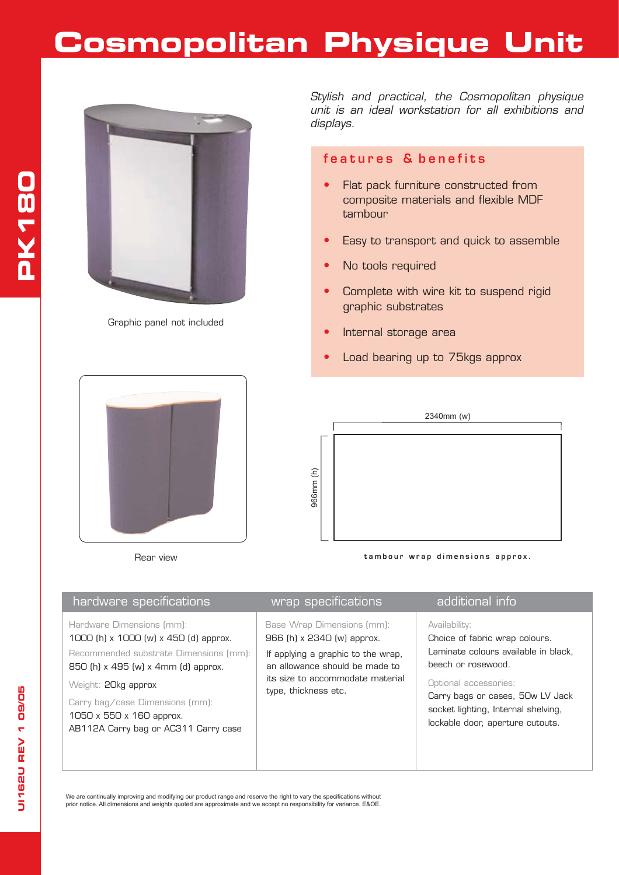## **Cosmopolitan Physique Unit**



Graphic panel not included

Rear view

*Stylish and practical, the Cosmopolitan physique unit is an ideal workstation for all exhibitions and displays.*

## **features & benefits**

- Flat pack furniture constructed from composite materials and flexible MDF tambour
- Easy to transport and quick to assemble
- No tools required
- Complete with wire kit to suspend rigid graphic substrates
- Internal storage area
- Load bearing up to 75kgs approx



**tambour wrap dimensions approx.**

| hardware specifications                                                                                                                                                                                                                                                           | wrap specifications                                                                                                                                                                          | additional info                                                                                                                                                                                                                                       |
|-----------------------------------------------------------------------------------------------------------------------------------------------------------------------------------------------------------------------------------------------------------------------------------|----------------------------------------------------------------------------------------------------------------------------------------------------------------------------------------------|-------------------------------------------------------------------------------------------------------------------------------------------------------------------------------------------------------------------------------------------------------|
| Hardware Dimensions (mm):<br>1000 (h) x 1000 (w) x 450 (d) approx.<br>Recommended substrate Dimensions (mm):<br>850 (h) x 495 (w) x 4mm (d) approx.<br>Weight: 20kg approx<br>Carry bag/case Dimensions (mm):<br>1050 x 550 x 160 approx.<br>AB112A Carry bag or AC311 Carry case | Base Wrap Dimensions (mm):<br>966 (h) x 2340 (w) approx.<br>If applying a graphic to the wrap,<br>an allowance should be made to<br>its size to accommodate material<br>type, thickness etc. | Availability:<br>Choice of fabric wrap colours.<br>Laminate colours available in black.<br>beech or rosewood.<br>Optional accessories:<br>Carry bags or cases, 50w LV Jack<br>socket lighting, Internal shelving,<br>lockable door, aperture cutouts. |

We are continually improving and modifying our product range and reserve the right to vary the specifications without prior notice. All dimensions and weights quoted are approximate and we accept no responsibility for variance. E&OE.